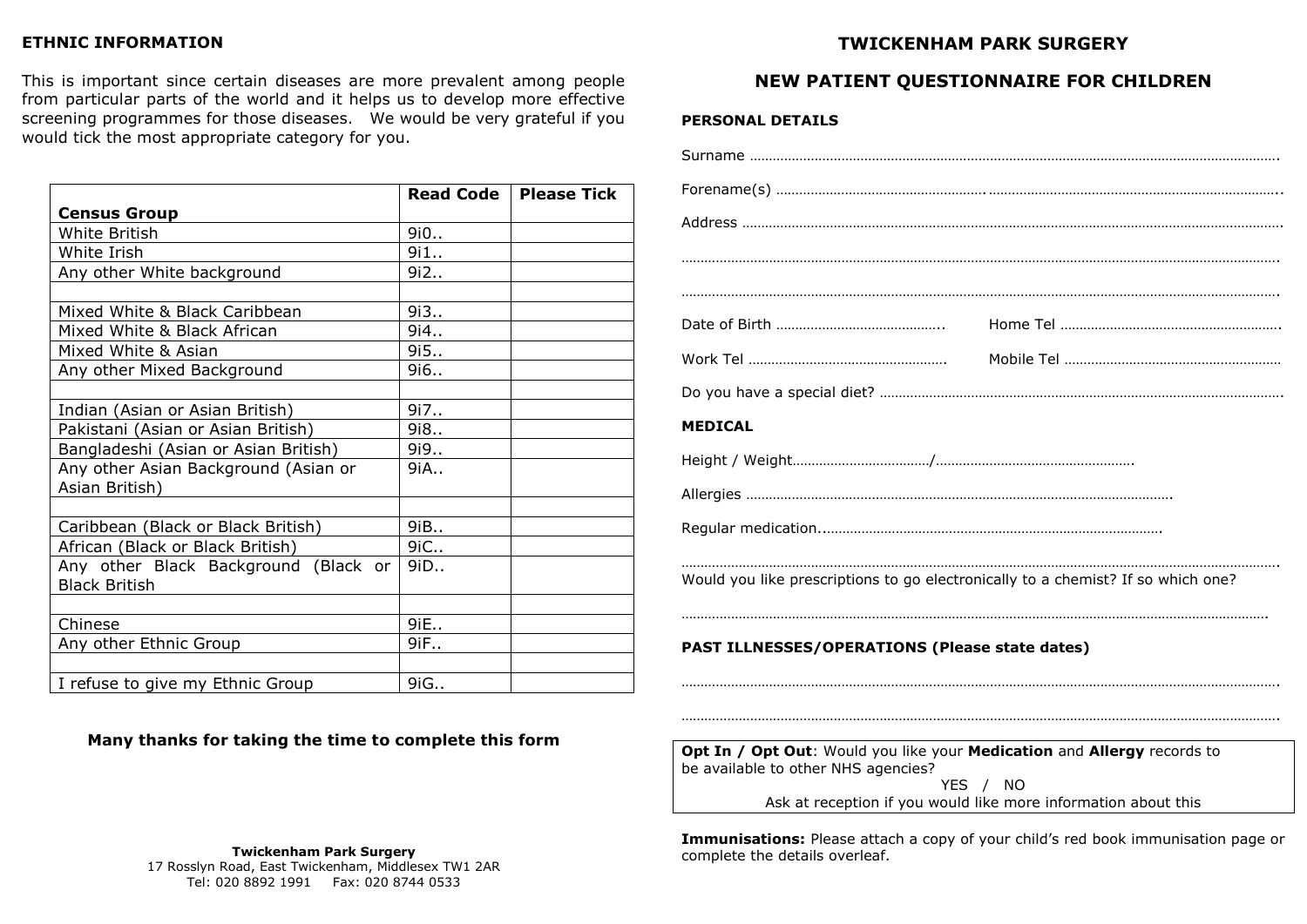### **ETHNIC INFORMATION**

This is important since certain diseases are more prevalent among people from particular parts of the world and it helps us to develop more effective screening programmes for those diseases. We would be very grateful if you would tick the most appropriate category for you.

|                                      | <b>Read Code</b> | <b>Please Tick</b> |
|--------------------------------------|------------------|--------------------|
| <b>Census Group</b>                  |                  |                    |
| White British                        | 9i0              |                    |
| White Irish                          | 9i1              |                    |
| Any other White background           | 9i2              |                    |
|                                      |                  |                    |
| Mixed White & Black Caribbean        | 9i3              |                    |
| Mixed White & Black African          | 9i4              |                    |
| Mixed White & Asian                  | 9i5              |                    |
| Any other Mixed Background           | 9i6              |                    |
|                                      |                  |                    |
| Indian (Asian or Asian British)      | 9i7              |                    |
| Pakistani (Asian or Asian British)   | 9i8              |                    |
| Bangladeshi (Asian or Asian British) | 9i9              |                    |
| Any other Asian Background (Asian or | 9iA              |                    |
| Asian British)                       |                  |                    |
|                                      |                  |                    |
| Caribbean (Black or Black British)   | 9iB.,            |                    |
| African (Black or Black British)     | 9iC              |                    |
| Any other Black Background (Black or | 9iD              |                    |
| <b>Black British</b>                 |                  |                    |
|                                      |                  |                    |
| Chinese                              | 9iE              |                    |
| Any other Ethnic Group               | 9iF              |                    |
|                                      |                  |                    |
| I refuse to give my Ethnic Group     | 9iG              |                    |

# **TWICKENHAM PARK SURGERY**

## **NEW PATIENT QUESTIONNAIRE FOR CHILDREN**

#### **PERSONAL DETAILS**

| <b>MEDICAL</b>                                                                                                 |               |
|----------------------------------------------------------------------------------------------------------------|---------------|
|                                                                                                                |               |
|                                                                                                                |               |
|                                                                                                                |               |
| Would you like prescriptions to go electronically to a chemist? If so which one?                               |               |
| <b>PAST ILLNESSES/OPERATIONS (Please state dates)</b>                                                          |               |
|                                                                                                                |               |
|                                                                                                                |               |
| Opt In / Opt Out: Would you like your Medication and Allergy records to<br>be available to other NHS agencies? | $\frac{1}{2}$ |

YES / NO Ask at reception if you would like more information about this

**Immunisations:** Please attach a copy of your child's red book immunisation page or complete the details overleaf.

**Many thanks for taking the time to complete this form**

#### **Twickenham Park Surgery**

17 Rosslyn Road, East Twickenham, Middlesex TW1 2AR Tel: 020 8892 1991 Fax: 020 8744 0533